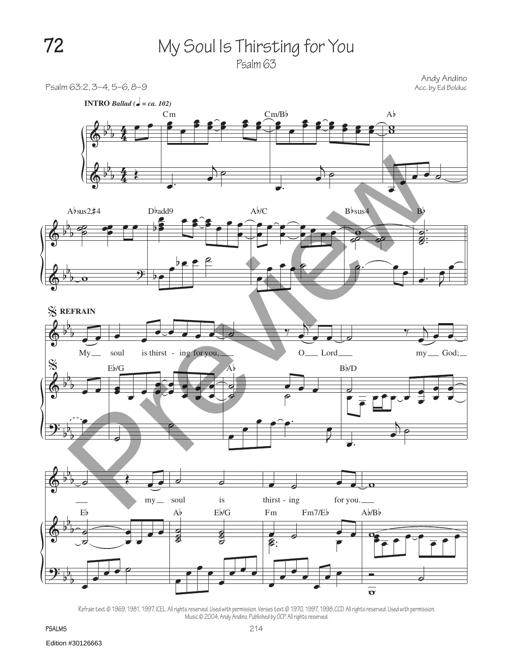

Andy Andino<br>Acc. by Ed Bolduc



Refrain text © 1969, 1981, 1997, ICEL. All rights reserved. Used with permission. Verses text © 1970, 1997, 1998, CCD. All rights reserved. Used with permission. Music © 2004, Andy Andino. Published by OCP. All rights reserved.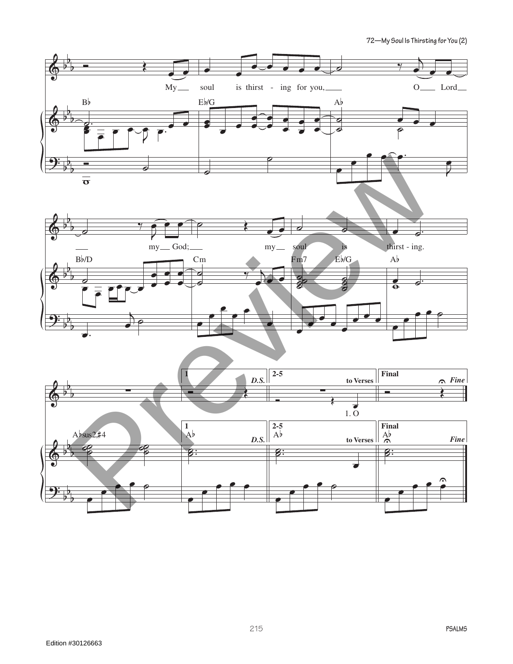**72—My Soul Is Thirsting for You (2)**

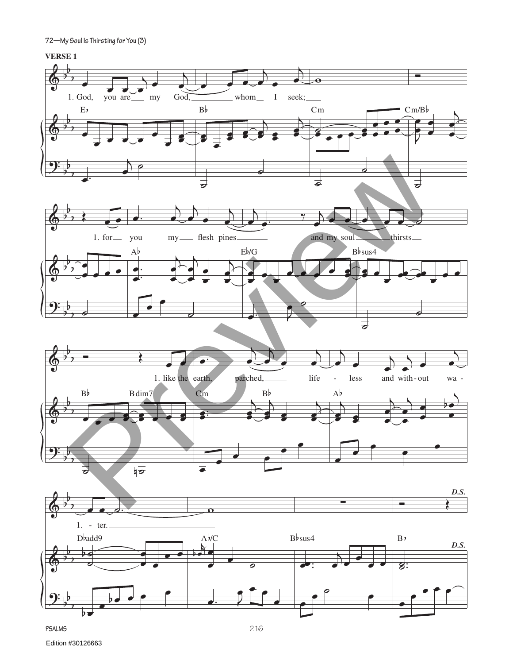**72—My Soul Is Thirsting for You (3)**

## **VERSE 1**

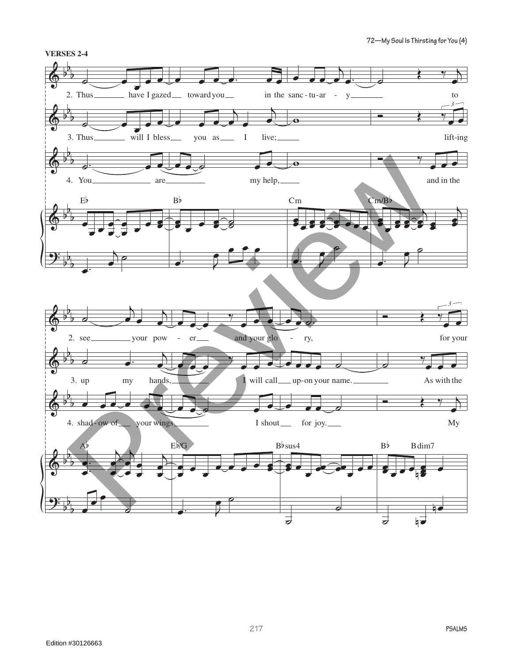